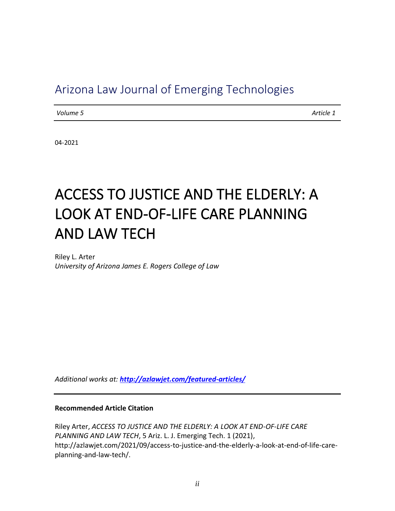# Arizona Law Journal of Emerging Technologies

*Volume 5* Article 1

04-2021

# ACCESS TO JUSTICE AND THE ELDERLY: A LOOK AT END-OF-LIFE CARE PLANNING AND LAW TECH

Riley L. Arter *University of Arizona James E. Rogers College of Law*

*Additional works at: <http://azlawjet.com/featured-articles/>*

#### **Recommended Article Citation**

Riley Arter, *ACCESS TO JUSTICE AND THE ELDERLY: A LOOK AT END-OF-LIFE CARE PLANNING AND LAW TECH*, 5 Ariz. L. J. Emerging Tech. 1 (2021), http://azlawjet.com/2021/09/access-to-justice-and-the-elderly-a-look-at-end-of-life-careplanning-and-law-tech/.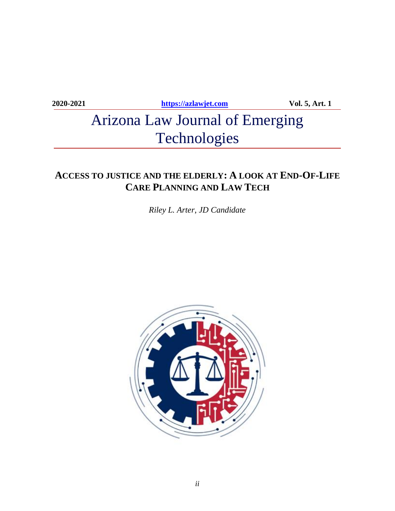**2020-2021 [https://azlawjet.com](https://azlawjet.com/) Vol. 5, Art. 1**

# Arizona Law Journal of Emerging Technologies

## **ACCESS TO JUSTICE AND THE ELDERLY: A LOOK AT END-OF-LIFE CARE PLANNING AND LAW TECH**

*Riley L. Arter*, *JD Candidate*

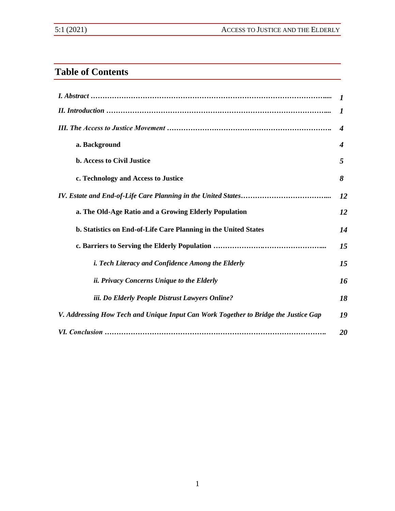## **Table of Contents**

|                                                                                     | 1                |
|-------------------------------------------------------------------------------------|------------------|
|                                                                                     | 1                |
|                                                                                     | $\boldsymbol{4}$ |
| a. Background                                                                       | $\boldsymbol{4}$ |
| <b>b. Access to Civil Justice</b>                                                   | 5                |
| c. Technology and Access to Justice                                                 | 8                |
|                                                                                     | 12               |
| a. The Old-Age Ratio and a Growing Elderly Population                               | 12               |
| b. Statistics on End-of-Life Care Planning in the United States                     | 14               |
|                                                                                     | 15               |
| <i>i. Tech Literacy and Confidence Among the Elderly</i>                            | 15               |
| <i>ii. Privacy Concerns Unique to the Elderly</i>                                   | 16               |
| iii. Do Elderly People Distrust Lawyers Online?                                     | 18               |
| V. Addressing How Tech and Unique Input Can Work Together to Bridge the Justice Gap | 19               |
|                                                                                     | 20               |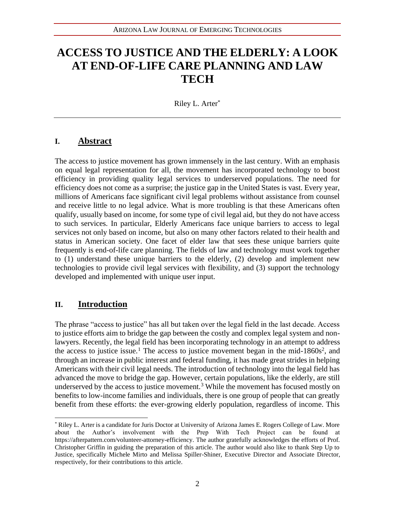# **ACCESS TO JUSTICE AND THE ELDERLY: A LOOK AT END-OF-LIFE CARE PLANNING AND LAW TECH**

Riley L. Arter\*

## **I. Abstract**

The access to justice movement has grown immensely in the last century. With an emphasis on equal legal representation for all, the movement has incorporated technology to boost efficiency in providing quality legal services to underserved populations. The need for efficiency does not come as a surprise; the justice gap in the United States is vast. Every year, millions of Americans face significant civil legal problems without assistance from counsel and receive little to no legal advice. What is more troubling is that these Americans often qualify, usually based on income, for some type of civil legal aid, but they do not have access to such services. In particular, Elderly Americans face unique barriers to access to legal services not only based on income, but also on many other factors related to their health and status in American society. One facet of elder law that sees these unique barriers quite frequently is end-of-life care planning. The fields of law and technology must work together to (1) understand these unique barriers to the elderly, (2) develop and implement new technologies to provide civil legal services with flexibility, and (3) support the technology developed and implemented with unique user input.

## **II. Introduction**

The phrase "access to justice" has all but taken over the legal field in the last decade. Access to justice efforts aim to bridge the gap between the costly and complex legal system and nonlawyers. Recently, the legal field has been incorporating technology in an attempt to address the access to justice issue.<sup>1</sup> The access to justice movement began in the mid-1860s<sup>2</sup>, and through an increase in public interest and federal funding, it has made great strides in helping Americans with their civil legal needs. The introduction of technology into the legal field has advanced the move to bridge the gap. However, certain populations, like the elderly, are still underserved by the access to justice movement.<sup>3</sup> While the movement has focused mostly on benefits to low-income families and individuals, there is one group of people that can greatly benefit from these efforts: the ever-growing elderly population, regardless of income. This

<sup>\*</sup> Riley L. Arter is a candidate for Juris Doctor at University of Arizona James E. Rogers College of Law. More about the Author's involvement with the Prep With Tech Project can be found at https://afterpattern.com/volunteer-attorney-efficiency. The author gratefully acknowledges the efforts of Prof. Christopher Griffin in guiding the preparation of this article. The author would also like to thank Step Up to Justice, specifically Michele Mirto and Melissa Spiller-Shiner, Executive Director and Associate Director, respectively, for their contributions to this article.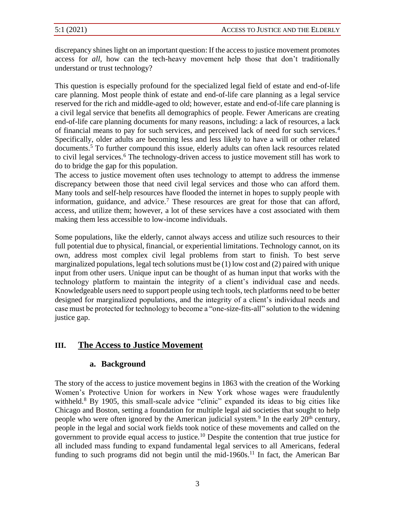discrepancy shines light on an important question: If the access to justice movement promotes access for *all*, how can the tech-heavy movement help those that don't traditionally understand or trust technology?

This question is especially profound for the specialized legal field of estate and end-of-life care planning. Most people think of estate and end-of-life care planning as a legal service reserved for the rich and middle-aged to old; however, estate and end-of-life care planning is a civil legal service that benefits all demographics of people. Fewer Americans are creating end-of-life care planning documents for many reasons, including: a lack of resources, a lack of financial means to pay for such services, and perceived lack of need for such services.<sup>4</sup> Specifically, older adults are becoming less and less likely to have a will or other related documents.<sup>5</sup> To further compound this issue, elderly adults can often lack resources related to civil legal services.<sup>6</sup> The technology-driven access to justice movement still has work to do to bridge the gap for this population.

The access to justice movement often uses technology to attempt to address the immense discrepancy between those that need civil legal services and those who can afford them. Many tools and self-help resources have flooded the internet in hopes to supply people with information, guidance, and advice.<sup>7</sup> These resources are great for those that can afford, access, and utilize them; however, a lot of these services have a cost associated with them making them less accessible to low-income individuals.

Some populations, like the elderly, cannot always access and utilize such resources to their full potential due to physical, financial, or experiential limitations. Technology cannot, on its own, address most complex civil legal problems from start to finish. To best serve marginalized populations, legal tech solutions must be (1) low cost and (2) paired with unique input from other users. Unique input can be thought of as human input that works with the technology platform to maintain the integrity of a client's individual case and needs. Knowledgeable users need to support people using tech tools, tech platforms need to be better designed for marginalized populations, and the integrity of a client's individual needs and case must be protected for technology to become a "one-size-fits-all" solution to the widening justice gap.

## **III. The Access to Justice Movement**

## **a. Background**

The story of the access to justice movement begins in 1863 with the creation of the Working Women's Protective Union for workers in New York whose wages were fraudulently withheld.<sup>8</sup> By 1905, this small-scale advice "clinic" expanded its ideas to big cities like Chicago and Boston, setting a foundation for multiple legal aid societies that sought to help people who were often ignored by the American judicial system.<sup>9</sup> In the early  $20<sup>th</sup>$  century, people in the legal and social work fields took notice of these movements and called on the government to provide equal access to justice.<sup>10</sup> Despite the contention that true justice for all included mass funding to expand fundamental legal services to all Americans, federal funding to such programs did not begin until the mid-1960s.<sup>11</sup> In fact, the American Bar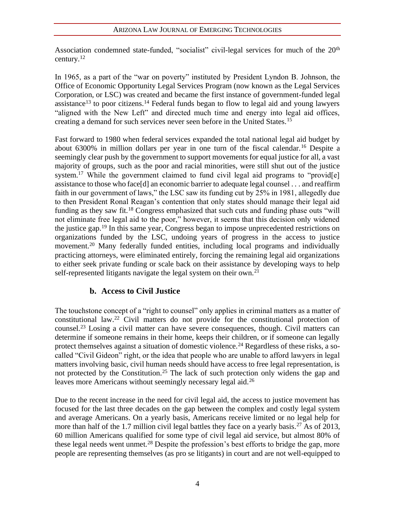Association condemned state-funded, "socialist" civil-legal services for much of the 20<sup>th</sup> century. $12$ 

In 1965, as a part of the "war on poverty" instituted by President Lyndon B. Johnson, the Office of Economic Opportunity Legal Services Program (now known as the Legal Services Corporation, or LSC) was created and became the first instance of government-funded legal assistance<sup>13</sup> to poor citizens.<sup>14</sup> Federal funds began to flow to legal aid and young lawyers "aligned with the New Left" and directed much time and energy into legal aid offices, creating a demand for such services never seen before in the United States.<sup>15</sup>

Fast forward to 1980 when federal services expanded the total national legal aid budget by about 6300% in million dollars per year in one turn of the fiscal calendar.<sup>16</sup> Despite a seemingly clear push by the government to support movements for equal justice for all, a vast majority of groups, such as the poor and racial minorities, were still shut out of the justice system.<sup>17</sup> While the government claimed to fund civil legal aid programs to "provided" assistance to those who face[d] an economic barrier to adequate legal counsel . . . and reaffirm faith in our government of laws," the LSC saw its funding cut by 25% in 1981, allegedly due to then President Ronal Reagan's contention that only states should manage their legal aid funding as they saw fit.<sup>18</sup> Congress emphasized that such cuts and funding phase outs "will not eliminate free legal aid to the poor," however, it seems that this decision only widened the justice gap.<sup>19</sup> In this same year, Congress began to impose unprecedented restrictions on organizations funded by the LSC, undoing years of progress in the access to justice movement.<sup>20</sup> Many federally funded entities, including local programs and individually practicing attorneys, were eliminated entirely, forcing the remaining legal aid organizations to either seek private funding or scale back on their assistance by developing ways to help self-represented litigants navigate the legal system on their own.<sup>21</sup>

## **b. Access to Civil Justice**

The touchstone concept of a "right to counsel" only applies in criminal matters as a matter of constitutional law.<sup>22</sup> Civil matters do not provide for the constitutional protection of counsel.<sup>23</sup> Losing a civil matter can have severe consequences, though. Civil matters can determine if someone remains in their home, keeps their children, or if someone can legally protect themselves against a situation of domestic violence.<sup>24</sup> Regardless of these risks, a socalled "Civil Gideon" right, or the idea that people who are unable to afford lawyers in legal matters involving basic, civil human needs should have access to free legal representation, is not protected by the Constitution.<sup>25</sup> The lack of such protection only widens the gap and leaves more Americans without seemingly necessary legal aid.<sup>26</sup>

Due to the recent increase in the need for civil legal aid, the access to justice movement has focused for the last three decades on the gap between the complex and costly legal system and average Americans. On a yearly basis, Americans receive limited or no legal help for more than half of the 1.7 million civil legal battles they face on a yearly basis.<sup>27</sup> As of 2013, 60 million Americans qualified for some type of civil legal aid service, but almost 80% of these legal needs went unmet.<sup>28</sup> Despite the profession's best efforts to bridge the gap, more people are representing themselves (as pro se litigants) in court and are not well-equipped to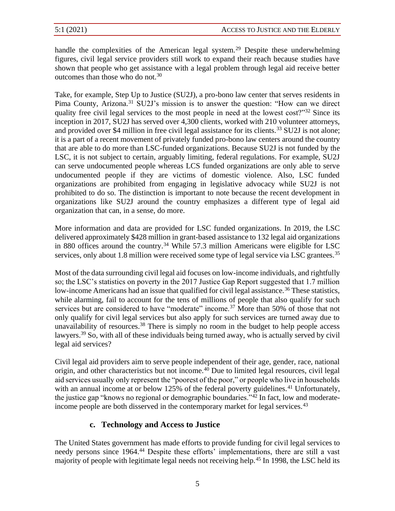handle the complexities of the American legal system.<sup>29</sup> Despite these underwhelming figures, civil legal service providers still work to expand their reach because studies have shown that people who get assistance with a legal problem through legal aid receive better outcomes than those who do not.<sup>30</sup>

Take, for example, Step Up to Justice (SU2J), a pro-bono law center that serves residents in Pima County, Arizona.<sup>31</sup> SU2J's mission is to answer the question: "How can we direct quality free civil legal services to the most people in need at the lowest cost?"<sup>32</sup> Since its inception in 2017, SU2J has served over 4,300 clients, worked with 210 volunteer attorneys, and provided over \$4 million in free civil legal assistance for its clients.<sup>33</sup> SU2J is not alone; it is a part of a recent movement of privately funded pro-bono law centers around the country that are able to do more than LSC-funded organizations. Because SU2J is not funded by the LSC, it is not subject to certain, arguably limiting, federal regulations. For example, SU2J can serve undocumented people whereas LCS funded organizations are only able to serve undocumented people if they are victims of domestic violence. Also, LSC funded organizations are prohibited from engaging in legislative advocacy while SU2J is not prohibited to do so. The distinction is important to note because the recent development in organizations like SU2J around the country emphasizes a different type of legal aid organization that can, in a sense, do more.

More information and data are provided for LSC funded organizations. In 2019, the LSC delivered approximately \$428 million in grant-based assistance to 132 legal aid organizations in 880 offices around the country.<sup>34</sup> While 57.3 million Americans were eligible for LSC services, only about 1.8 million were received some type of legal service via LSC grantees.<sup>35</sup>

Most of the data surrounding civil legal aid focuses on low-income individuals, and rightfully so; the LSC's statistics on poverty in the 2017 Justice Gap Report suggested that 1.7 million low-income Americans had an issue that qualified for civil legal assistance.<sup>36</sup> These statistics, while alarming, fail to account for the tens of millions of people that also qualify for such services but are considered to have "moderate" income.<sup>37</sup> More than 50% of those that not only qualify for civil legal services but also apply for such services are turned away due to unavailability of resources. $38$  There is simply no room in the budget to help people access lawyers.<sup>39</sup> So, with all of these individuals being turned away, who is actually served by civil legal aid services?

Civil legal aid providers aim to serve people independent of their age, gender, race, national origin, and other characteristics but not income.<sup>40</sup> Due to limited legal resources, civil legal aid services usually only represent the "poorest of the poor," or people who live in households with an annual income at or below  $125\%$  of the federal poverty guidelines.<sup>41</sup> Unfortunately, the justice gap "knows no regional or demographic boundaries."<sup>42</sup> In fact, low and moderateincome people are both disserved in the contemporary market for legal services.<sup>43</sup>

## **c. Technology and Access to Justice**

The United States government has made efforts to provide funding for civil legal services to needy persons since 1964.<sup>44</sup> Despite these efforts' implementations, there are still a vast majority of people with legitimate legal needs not receiving help.<sup>45</sup> In 1998, the LSC held its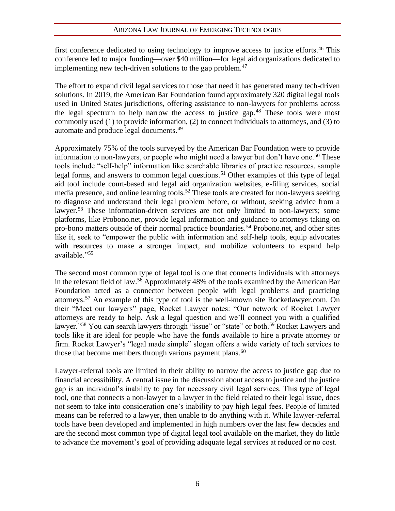first conference dedicated to using technology to improve access to justice efforts.<sup>46</sup> This conference led to major funding—over \$40 million—for legal aid organizations dedicated to implementing new tech-driven solutions to the gap problem.<sup>47</sup>

The effort to expand civil legal services to those that need it has generated many tech-driven solutions. In 2019, the American Bar Foundation found approximately 320 digital legal tools used in United States jurisdictions, offering assistance to non-lawyers for problems across the legal spectrum to help narrow the access to justice gap.<sup>48</sup> These tools were most commonly used (1) to provide information, (2) to connect individuals to attorneys, and (3) to automate and produce legal documents.<sup>49</sup>

Approximately 75% of the tools surveyed by the American Bar Foundation were to provide information to non-lawyers, or people who might need a lawyer but don't have one.<sup>50</sup> These tools include "self-help" information like searchable libraries of practice resources, sample legal forms, and answers to common legal questions.<sup>51</sup> Other examples of this type of legal aid tool include court-based and legal aid organization websites, e-filing services, social media presence, and online learning tools.<sup>52</sup> These tools are created for non-lawyers seeking to diagnose and understand their legal problem before, or without, seeking advice from a lawyer.<sup>53</sup> These information-driven services are not only limited to non-lawyers; some platforms, like Probono.net, provide legal information and guidance to attorneys taking on pro-bono matters outside of their normal practice boundaries.<sup>54</sup> Probono.net, and other sites like it, seek to "empower the public with information and self-help tools, equip advocates with resources to make a stronger impact, and mobilize volunteers to expand help available."<sup>55</sup>

The second most common type of legal tool is one that connects individuals with attorneys in the relevant field of law.<sup>56</sup> Approximately 48% of the tools examined by the American Bar Foundation acted as a connector between people with legal problems and practicing attorneys.<sup>57</sup> An example of this type of tool is the well-known site Rocketlawyer.com. On their "Meet our lawyers" page, Rocket Lawyer notes: "Our network of Rocket Lawyer attorneys are ready to help. Ask a legal question and we'll connect you with a qualified lawyer."<sup>58</sup> You can search lawyers through "issue" or "state" or both.<sup>59</sup> Rocket Lawyers and tools like it are ideal for people who have the funds available to hire a private attorney or firm. Rocket Lawyer's "legal made simple" slogan offers a wide variety of tech services to those that become members through various payment plans.<sup>60</sup>

Lawyer-referral tools are limited in their ability to narrow the access to justice gap due to financial accessibility. A central issue in the discussion about access to justice and the justice gap is an individual's inability to pay for necessary civil legal services. This type of legal tool, one that connects a non-lawyer to a lawyer in the field related to their legal issue, does not seem to take into consideration one's inability to pay high legal fees. People of limited means can be referred to a lawyer, then unable to do anything with it. While lawyer-referral tools have been developed and implemented in high numbers over the last few decades and are the second most common type of digital legal tool available on the market, they do little to advance the movement's goal of providing adequate legal services at reduced or no cost.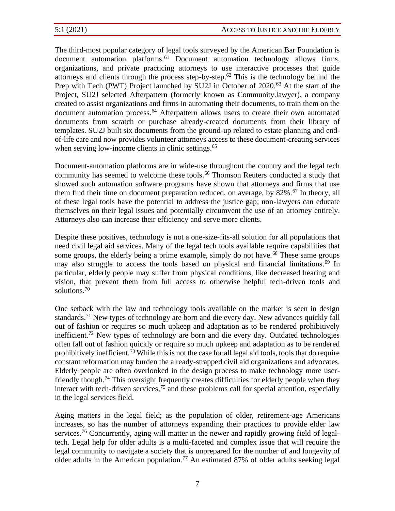The third-most popular category of legal tools surveyed by the American Bar Foundation is document automation platforms.<sup>61</sup> Document automation technology allows firms, organizations, and private practicing attorneys to use interactive processes that guide attorneys and clients through the process step-by-step.<sup>62</sup> This is the technology behind the Prep with Tech (PWT) Project launched by SU2J in October of 2020.<sup>63</sup> At the start of the Project, SU2J selected Afterpattern (formerly known as Community.lawyer), a company created to assist organizations and firms in automating their documents, to train them on the document automation process.<sup>64</sup> Afterpattern allows users to create their own automated documents from scratch or purchase already-created documents from their library of templates. SU2J built six documents from the ground-up related to estate planning and endof-life care and now provides volunteer attorneys access to these document-creating services when serving low-income clients in clinic settings.<sup>65</sup>

Document-automation platforms are in wide-use throughout the country and the legal tech community has seemed to welcome these tools.<sup>66</sup> Thomson Reuters conducted a study that showed such automation software programs have shown that attorneys and firms that use them find their time on document preparation reduced, on average, by  $82\%$ .<sup>67</sup> In theory, all of these legal tools have the potential to address the justice gap; non-lawyers can educate themselves on their legal issues and potentially circumvent the use of an attorney entirely. Attorneys also can increase their efficiency and serve more clients.

Despite these positives, technology is not a one-size-fits-all solution for all populations that need civil legal aid services. Many of the legal tech tools available require capabilities that some groups, the elderly being a prime example, simply do not have.<sup>68</sup> These same groups may also struggle to access the tools based on physical and financial limitations.<sup>69</sup> In particular, elderly people may suffer from physical conditions, like decreased hearing and vision, that prevent them from full access to otherwise helpful tech-driven tools and solutions.<sup>70</sup>

One setback with the law and technology tools available on the market is seen in design standards.<sup>71</sup> New types of technology are born and die every day. New advances quickly fall out of fashion or requires so much upkeep and adaptation as to be rendered prohibitively inefficient.<sup>72</sup> New types of technology are born and die every day. Outdated technologies often fall out of fashion quickly or require so much upkeep and adaptation as to be rendered prohibitively inefficient.<sup>73</sup> While this is not the case for all legal aid tools, tools that do require constant reformation may burden the already-strapped civil aid organizations and advocates. Elderly people are often overlooked in the design process to make technology more userfriendly though.<sup>74</sup> This oversight frequently creates difficulties for elderly people when they interact with tech-driven services, $75$  and these problems call for special attention, especially in the legal services field.

Aging matters in the legal field; as the population of older, retirement-age Americans increases, so has the number of attorneys expanding their practices to provide elder law services.<sup>76</sup> Concurrently, aging will matter in the newer and rapidly growing field of legaltech. Legal help for older adults is a multi-faceted and complex issue that will require the legal community to navigate a society that is unprepared for the number of and longevity of older adults in the American population.<sup>77</sup> An estimated 87% of older adults seeking legal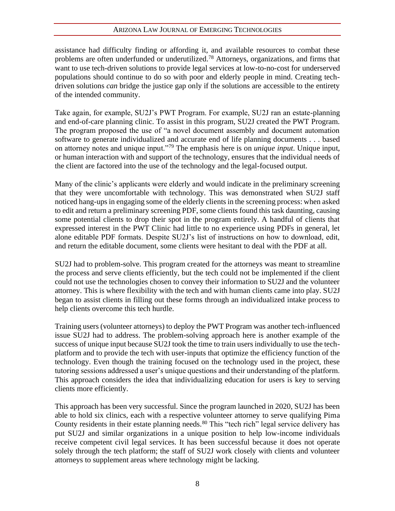#### ARIZONA LAW JOURNAL OF EMERGING TECHNOLOGIES

assistance had difficulty finding or affording it, and available resources to combat these problems are often underfunded or underutilized.<sup>78</sup> Attorneys, organizations, and firms that want to use tech-driven solutions to provide legal services at low-to-no-cost for underserved populations should continue to do so with poor and elderly people in mind. Creating techdriven solutions *can* bridge the justice gap only if the solutions are accessible to the entirety of the intended community.

Take again, for example, SU2J's PWT Program. For example, SU2J ran an estate-planning and end-of-care planning clinic. To assist in this program, SU2J created the PWT Program. The program proposed the use of "a novel document assembly and document automation software to generate individualized and accurate end of life planning documents . . . based on attorney notes and unique input."<sup>79</sup> The emphasis here is on *unique input*. Unique input, or human interaction with and support of the technology, ensures that the individual needs of the client are factored into the use of the technology and the legal-focused output.

Many of the clinic's applicants were elderly and would indicate in the preliminary screening that they were uncomfortable with technology. This was demonstrated when SU2J staff noticed hang-ups in engaging some of the elderly clients in the screening process: when asked to edit and return a preliminary screening PDF, some clients found this task daunting, causing some potential clients to drop their spot in the program entirely. A handful of clients that expressed interest in the PWT Clinic had little to no experience using PDFs in general, let alone editable PDF formats. Despite SU2J's list of instructions on how to download, edit, and return the editable document, some clients were hesitant to deal with the PDF at all.

SU2J had to problem-solve. This program created for the attorneys was meant to streamline the process and serve clients efficiently, but the tech could not be implemented if the client could not use the technologies chosen to convey their information to SU2J and the volunteer attorney. This is where flexibility with the tech and with human clients came into play. SU2J began to assist clients in filling out these forms through an individualized intake process to help clients overcome this tech hurdle.

Training users (volunteer attorneys) to deploy the PWT Program was another tech-influenced issue SU2J had to address. The problem-solving approach here is another example of the success of unique input because SU2J took the time to train users individually to use the techplatform and to provide the tech with user-inputs that optimize the efficiency function of the technology. Even though the training focused on the technology used in the project, these tutoring sessions addressed a user's unique questions and their understanding of the platform. This approach considers the idea that individualizing education for users is key to serving clients more efficiently.

This approach has been very successful. Since the program launched in 2020, SU2J has been able to hold six clinics, each with a respective volunteer attorney to serve qualifying Pima County residents in their estate planning needs.<sup>80</sup> This "tech rich" legal service delivery has put SU2J and similar organizations in a unique position to help low-income individuals receive competent civil legal services. It has been successful because it does not operate solely through the tech platform; the staff of SU2J work closely with clients and volunteer attorneys to supplement areas where technology might be lacking.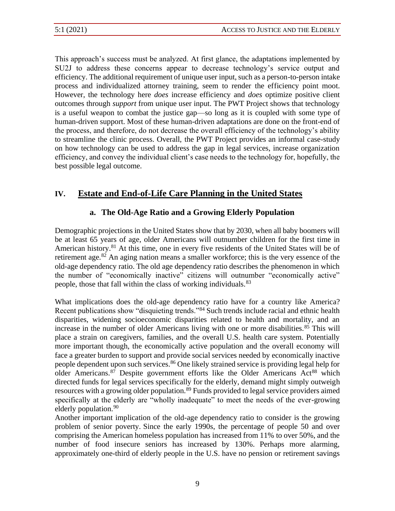This approach's success must be analyzed. At first glance, the adaptations implemented by SU2J to address these concerns appear to decrease technology's service output and efficiency. The additional requirement of unique user input, such as a person-to-person intake process and individualized attorney training, seem to render the efficiency point moot. However, the technology here *does* increase efficiency and *does* optimize positive client outcomes through *support* from unique user input. The PWT Project shows that technology is a useful weapon to combat the justice gap—so long as it is coupled with some type of human-driven support. Most of these human-driven adaptations are done on the front-end of the process, and therefore, do not decrease the overall efficiency of the technology's ability to streamline the clinic process. Overall, the PWT Project provides an informal case-study on how technology can be used to address the gap in legal services, increase organization efficiency, and convey the individual client's case needs to the technology for, hopefully, the best possible legal outcome.

## **IV. Estate and End-of-Life Care Planning in the United States**

## **a. The Old-Age Ratio and a Growing Elderly Population**

Demographic projections in the United States show that by 2030, when all baby boomers will be at least 65 years of age, older Americans will outnumber children for the first time in American history.<sup>81</sup> At this time, one in every five residents of the United States will be of retirement age.<sup>82</sup> An aging nation means a smaller workforce; this is the very essence of the old-age dependency ratio. The old age dependency ratio describes the phenomenon in which the number of "economically inactive" citizens will outnumber "economically active" people, those that fall within the class of working individuals.<sup>83</sup>

What implications does the old-age dependency ratio have for a country like America? Recent publications show "disquieting trends."<sup>84</sup> Such trends include racial and ethnic health disparities, widening socioeconomic disparities related to health and mortality, and an increase in the number of older Americans living with one or more disabilities.<sup>85</sup> This will place a strain on caregivers, families, and the overall U.S. health care system. Potentially more important though, the economically active population and the overall economy will face a greater burden to support and provide social services needed by economically inactive people dependent upon such services.<sup>86</sup> One likely strained service is providing legal help for older Americans. $87$  Despite government efforts like the Older Americans Act<sup>88</sup> which directed funds for legal services specifically for the elderly, demand might simply outweigh resources with a growing older population.<sup>89</sup> Funds provided to legal service providers aimed specifically at the elderly are "wholly inadequate" to meet the needs of the ever-growing elderly population.<sup>90</sup>

Another important implication of the old-age dependency ratio to consider is the growing problem of senior poverty. Since the early 1990s, the percentage of people 50 and over comprising the American homeless population has increased from 11% to over 50%, and the number of food insecure seniors has increased by 130%. Perhaps more alarming, approximately one-third of elderly people in the U.S. have no pension or retirement savings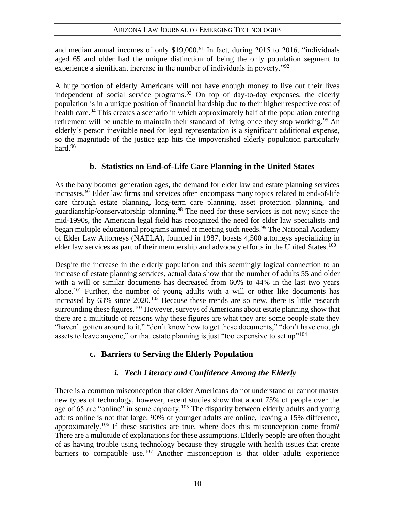and median annual incomes of only  $$19,000.<sup>91</sup>$  In fact, during 2015 to 2016, "individuals aged 65 and older had the unique distinction of being the only population segment to experience a significant increase in the number of individuals in poverty.<sup>"92</sup>

A huge portion of elderly Americans will not have enough money to live out their lives independent of social service programs.  $93$  On top of day-to-day expenses, the elderly population is in a unique position of financial hardship due to their higher respective cost of health care.<sup>94</sup> This creates a scenario in which approximately half of the population entering retirement will be unable to maintain their standard of living once they stop working.<sup>95</sup> An elderly's person inevitable need for legal representation is a significant additional expense, so the magnitude of the justice gap hits the impoverished elderly population particularly hard.<sup>96</sup>

## **b. Statistics on End-of-Life Care Planning in the United States**

As the baby boomer generation ages, the demand for elder law and estate planning services increases.<sup>97</sup> Elder law firms and services often encompass many topics related to end-of-life care through estate planning, long-term care planning, asset protection planning, and guardianship/conservatorship planning.<sup>98</sup> The need for these services is not new; since the mid-1990s, the American legal field has recognized the need for elder law specialists and began multiple educational programs aimed at meeting such needs.<sup>99</sup> The National Academy of Elder Law Attorneys (NAELA), founded in 1987, boasts 4,500 attorneys specializing in elder law services as part of their membership and advocacy efforts in the United States.<sup>100</sup>

Despite the increase in the elderly population and this seemingly logical connection to an increase of estate planning services, actual data show that the number of adults 55 and older with a will or similar documents has decreased from 60% to 44% in the last two years alone.<sup>101</sup> Further, the number of young adults with a will or other like documents has increased by 63% since 2020.<sup>102</sup> Because these trends are so new, there is little research surrounding these figures.<sup>103</sup> However, surveys of Americans about estate planning show that there are a multitude of reasons why these figures are what they are: some people state they "haven't gotten around to it," "don't know how to get these documents," "don't have enough assets to leave anyone," or that estate planning is just "too expensive to set  $up$ "<sup>104</sup>

## **c. Barriers to Serving the Elderly Population**

## *i. Tech Literacy and Confidence Among the Elderly*

There is a common misconception that older Americans do not understand or cannot master new types of technology, however, recent studies show that about 75% of people over the age of 65 are "online" in some capacity.<sup>105</sup> The disparity between elderly adults and young adults online is not that large; 90% of younger adults are online, leaving a 15% difference, approximately.<sup>106</sup> If these statistics are true, where does this misconception come from? There are a multitude of explanations for these assumptions. Elderly people are often thought of as having trouble using technology because they struggle with health issues that create barriers to compatible use.<sup>107</sup> Another misconception is that older adults experience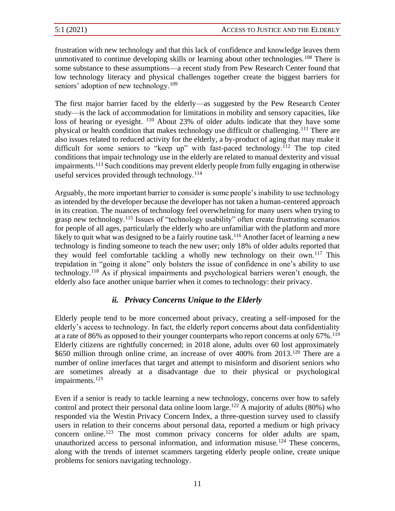frustration with new technology and that this lack of confidence and knowledge leaves them unmotivated to continue developing skills or learning about other technologies.<sup>108</sup> There is some substance to these assumptions—a recent study from Pew Research Center found that low technology literacy and physical challenges together create the biggest barriers for seniors' adoption of new technology.<sup>109</sup>

The first major barrier faced by the elderly—as suggested by the Pew Research Center study—is the lack of accommodation for limitations in mobility and sensory capacities, like loss of hearing or eyesight. <sup>110</sup> About 23% of older adults indicate that they have some physical or health condition that makes technology use difficult or challenging.<sup>111</sup> There are also issues related to reduced activity for the elderly, a by-product of aging that may make it difficult for some seniors to "keep up" with fast-paced technology.<sup>112</sup> The top cited conditions that impair technology use in the elderly are related to manual dexterity and visual impairments.<sup>113</sup> Such conditions may prevent elderly people from fully engaging in otherwise useful services provided through technology. $114$ 

Arguably, the more important barrier to consider is some people's inability to use technology as intended by the developer because the developer has not taken a human-centered approach in its creation. The nuances of technology feel overwhelming for many users when trying to grasp new technology.<sup>115</sup> Issues of "technology usability" often create frustrating scenarios for people of all ages, particularly the elderly who are unfamiliar with the platform and more likely to quit what was designed to be a fairly routine task.<sup>116</sup> Another facet of learning a new technology is finding someone to teach the new user; only 18% of older adults reported that they would feel comfortable tackling a wholly new technology on their own.<sup>117</sup> This trepidation in "going it alone" only bolsters the issue of confidence in one's ability to use technology.<sup>118</sup> As if physical impairments and psychological barriers weren't enough, the elderly also face another unique barrier when it comes to technology: their privacy.

## *ii. Privacy Concerns Unique to the Elderly*

Elderly people tend to be more concerned about privacy, creating a self-imposed for the elderly's access to technology. In fact, the elderly report concerns about data confidentiality at a rate of 86% as opposed to their younger counterparts who report concerns at only  $67\%$ .<sup>119</sup> Elderly citizens are rightfully concerned; in 2018 alone, adults over 60 lost approximately \$650 million through online crime, an increase of over 400% from 2013.<sup>120</sup> There are a number of online interfaces that target and attempt to misinform and disorient seniors who are sometimes already at a disadvantage due to their physical or psychological impairments.<sup>121</sup>

Even if a senior is ready to tackle learning a new technology, concerns over how to safely control and protect their personal data online loom large.<sup>122</sup> A majority of adults  $(80\%)$  who responded via the Westin Privacy Concern Index, a three-question survey used to classify users in relation to their concerns about personal data, reported a medium or high privacy concern online.<sup>123</sup> The most common privacy concerns for older adults are spam, unauthorized access to personal information, and information misuse.<sup>124</sup> These concerns, along with the trends of internet scammers targeting elderly people online, create unique problems for seniors navigating technology.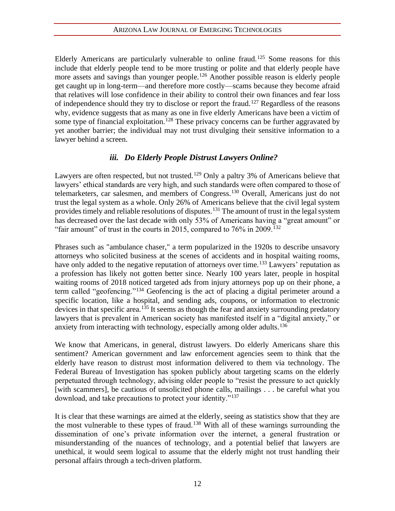Elderly Americans are particularly vulnerable to online fraud.<sup>125</sup> Some reasons for this include that elderly people tend to be more trusting or polite and that elderly people have more assets and savings than younger people.<sup>126</sup> Another possible reason is elderly people get caught up in long-term—and therefore more costly—scams because they become afraid that relatives will lose confidence in their ability to control their own finances and fear loss of independence should they try to disclose or report the fraud.<sup>127</sup> Regardless of the reasons why, evidence suggests that as many as one in five elderly Americans have been a victim of some type of financial exploitation.<sup>128</sup> These privacy concerns can be further aggravated by yet another barrier; the individual may not trust divulging their sensitive information to a lawyer behind a screen.

### *iii. Do Elderly People Distrust Lawyers Online?*

Lawyers are often respected, but not trusted.<sup>129</sup> Only a paltry 3% of Americans believe that lawyers' ethical standards are very high, and such standards were often compared to those of telemarketers, car salesmen, and members of Congress.<sup>130</sup> Overall, Americans just do not trust the legal system as a whole. Only 26% of Americans believe that the civil legal system provides timely and reliable resolutions of disputes.<sup>131</sup> The amount of trust in the legal system has decreased over the last decade with only 53% of Americans having a "great amount" or "fair amount" of trust in the courts in 2015, compared to  $76\%$  in 2009.<sup>132</sup>

Phrases such as "ambulance chaser," a term popularized in the 1920s to describe unsavory attorneys who solicited business at the scenes of accidents and in hospital waiting rooms, have only added to the negative reputation of attorneys over time.<sup>133</sup> Lawyers' reputation as a profession has likely not gotten better since. Nearly 100 years later, people in hospital waiting rooms of 2018 noticed targeted ads from injury attorneys pop up on their phone, a term called "geofencing."<sup>134</sup> Geofencing is the act of placing a digital perimeter around a specific location, like a hospital, and sending ads, coupons, or information to electronic devices in that specific area.<sup>135</sup> It seems as though the fear and anxiety surrounding predatory lawyers that is prevalent in American society has manifested itself in a "digital anxiety," or anxiety from interacting with technology, especially among older adults.<sup>136</sup>

We know that Americans, in general, distrust lawyers. Do elderly Americans share this sentiment? American government and law enforcement agencies seem to think that the elderly have reason to distrust most information delivered to them via technology. The Federal Bureau of Investigation has spoken publicly about targeting scams on the elderly perpetuated through technology, advising older people to "resist the pressure to act quickly [with scammers], be cautious of unsolicited phone calls, mailings . . . be careful what you download, and take precautions to protect your identity."<sup>137</sup>

It is clear that these warnings are aimed at the elderly, seeing as statistics show that they are the most vulnerable to these types of fraud.<sup>138</sup> With all of these warnings surrounding the dissemination of one's private information over the internet, a general frustration or misunderstanding of the nuances of technology, and a potential belief that lawyers are unethical, it would seem logical to assume that the elderly might not trust handling their personal affairs through a tech-driven platform.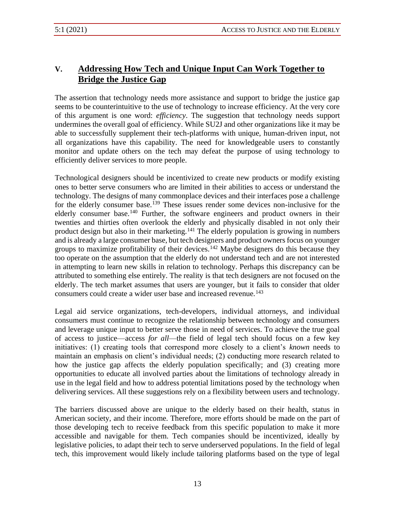## **V. Addressing How Tech and Unique Input Can Work Together to Bridge the Justice Gap**

The assertion that technology needs more assistance and support to bridge the justice gap seems to be counterintuitive to the use of technology to increase efficiency. At the very core of this argument is one word: *efficiency*. The suggestion that technology needs support undermines the overall goal of efficiency. While SU2J and other organizations like it may be able to successfully supplement their tech-platforms with unique, human-driven input, not all organizations have this capability. The need for knowledgeable users to constantly monitor and update others on the tech may defeat the purpose of using technology to efficiently deliver services to more people.

Technological designers should be incentivized to create new products or modify existing ones to better serve consumers who are limited in their abilities to access or understand the technology. The designs of many commonplace devices and their interfaces pose a challenge for the elderly consumer base.<sup>139</sup> These issues render some devices non-inclusive for the elderly consumer base.<sup>140</sup> Further, the software engineers and product owners in their twenties and thirties often overlook the elderly and physically disabled in not only their product design but also in their marketing.<sup>141</sup> The elderly population is growing in numbers and is already a large consumer base, but tech designers and product owners focus on younger groups to maximize profitability of their devices.<sup>142</sup> Maybe designers do this because they too operate on the assumption that the elderly do not understand tech and are not interested in attempting to learn new skills in relation to technology. Perhaps this discrepancy can be attributed to something else entirely. The reality is that tech designers are not focused on the elderly. The tech market assumes that users are younger, but it fails to consider that older consumers could create a wider user base and increased revenue.<sup>143</sup>

Legal aid service organizations, tech-developers, individual attorneys, and individual consumers must continue to recognize the relationship between technology and consumers and leverage unique input to better serve those in need of services. To achieve the true goal of access to justice—access *for all*—the field of legal tech should focus on a few key initiatives: (1) creating tools that correspond more closely to a client's *known* needs to maintain an emphasis on client's individual needs; (2) conducting more research related to how the justice gap affects the elderly population specifically; and (3) creating more opportunities to educate all involved parties about the limitations of technology already in use in the legal field and how to address potential limitations posed by the technology when delivering services. All these suggestions rely on a flexibility between users and technology.

The barriers discussed above are unique to the elderly based on their health, status in American society, and their income. Therefore, more efforts should be made on the part of those developing tech to receive feedback from this specific population to make it more accessible and navigable for them. Tech companies should be incentivized, ideally by legislative policies, to adapt their tech to serve underserved populations. In the field of legal tech, this improvement would likely include tailoring platforms based on the type of legal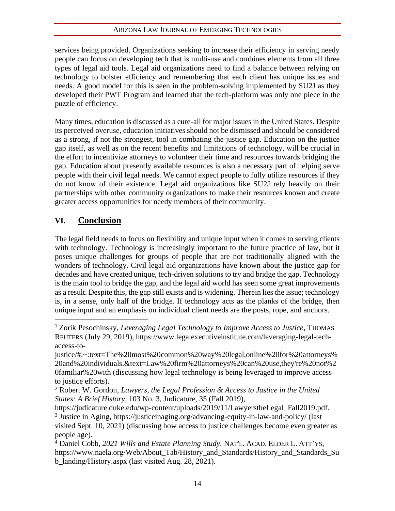services being provided. Organizations seeking to increase their efficiency in serving needy people can focus on developing tech that is multi-use and combines elements from all three types of legal aid tools. Legal aid organizations need to find a balance between relying on technology to bolster efficiency and remembering that each client has unique issues and needs. A good model for this is seen in the problem-solving implemented by SU2J as they developed their PWT Program and learned that the tech-platform was only one piece in the puzzle of efficiency.

Many times, education is discussed as a cure-all for major issues in the United States. Despite its perceived overuse, education initiatives should not be dismissed and should be considered as a strong, if not the strongest, tool in combating the justice gap. Education on the justice gap itself, as well as on the recent benefits and limitations of technology, will be crucial in the effort to incentivize attorneys to volunteer their time and resources towards bridging the gap. Education about presently available resources is also a necessary part of helping serve people with their civil legal needs. We cannot expect people to fully utilize resources if they do not know of their existence. Legal aid organizations like SU2J rely heavily on their partnerships with other community organizations to make their resources known and create greater access opportunities for needy members of their community.

## **VI. Conclusion**

The legal field needs to focus on flexibility and unique input when it comes to serving clients with technology. Technology is increasingly important to the future practice of law, but it poses unique challenges for groups of people that are not traditionally aligned with the wonders of technology. Civil legal aid organizations have known about the justice gap for decades and have created unique, tech-driven solutions to try and bridge the gap. Technology is the main tool to bridge the gap, and the legal aid world has seen some great improvements as a result. Despite this, the gap still exists and is widening. Therein lies the issue; technology is, in a sense, only half of the bridge. If technology acts as the planks of the bridge, then unique input and an emphasis on individual client needs are the posts, rope, and anchors.

https://judicature.duke.edu/wp-content/uploads/2019/11/LawyerstheLegal\_Fall2019.pdf. <sup>3</sup> Justice in Aging, https://justiceinaging.org/advancing-equity-in-law-and-policy/ (last

<sup>1</sup> Zorik Pesochinsky, *Leveraging Legal Technology to Improve Access to Justice*, THOMAS REUTERS (July 29, 2019), https://www.legalexecutiveinstitute.com/leveraging-legal-techaccess-to-

justice/#:~:text=The%20most%20common%20way%20legal,online%20for%20attorneys% 20and%20individuals.&text=Law%20firm%20attorneys%20can%20use,they're%20not%2 0familiar%20with (discussing how legal technology is being leveraged to improve access to justice efforts).

<sup>2</sup> Robert W. Gordon, *Lawyers, the Legal Profession & Access to Justice in the United States: A Brief History*, 103 No. 3, Judicature, 35 (Fall 2019),

visited Sept. 10, 2021) (discussing how access to justice challenges become even greater as people age).

<sup>4</sup> Daniel Cobb, *2021 Wills and Estate Planning Study*, NAT'L. ACAD. ELDER L. ATT'YS, https://www.naela.org/Web/About\_Tab/History\_and\_Standards/History\_and\_Standards\_Su b\_landing/History.aspx (last visited Aug. 28, 2021).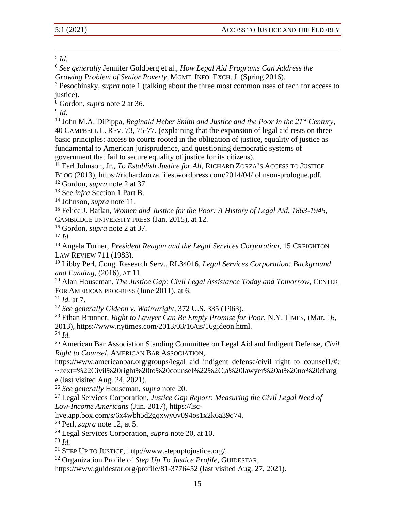## 5 *Id.*

<sup>6</sup> *See generally* Jennifer Goldberg et al., *How Legal Aid Programs Can Address the Growing Problem of Senior Poverty*, MGMT. INFO. EXCH. J. (Spring 2016).

<sup>7</sup> Pesochinsky, *supra* note 1 (talking about the three most common uses of tech for access to justice).

<sup>8</sup> Gordon, *supra* note 2 at 36.

<sup>10</sup> John M.A. DiPippa, *Reginald Heber Smith and Justice and the Poor in the 21st Century*, 40 CAMPBELL L. REV. 73, 75-77. (explaining that the expansion of legal aid rests on three basic principles: access to courts rooted in the obligation of justice, equality of justice as fundamental to American jurisprudence, and questioning democratic systems of government that fail to secure equality of justice for its citizens).

<sup>11</sup> Earl Johnson, Jr., *To Establish Justice for All*, RICHARD ZORZA'S ACCESS TO JUSTICE BLOG (2013), https://richardzorza.files.wordpress.com/2014/04/johnson-prologue.pdf.

<sup>12</sup> Gordon, *supra* note 2 at 37.

<sup>13</sup> See *infra* Section 1 Part B.

<sup>14</sup> Johnson, *supra* note 11.

<sup>15</sup> Felice J. Batlan, *Women and Justice for the Poor: A History of Legal Aid, 1863-1945*, CAMBRIDGE UNIVERSITY PRESS (Jan. 2015), at 12.

<sup>16</sup> Gordon, *supra* note 2 at 37.

<sup>17</sup> *Id.*

<sup>18</sup> Angela Turner, *President Reagan and the Legal Services Corporation*, 15 CREIGHTON LAW REVIEW 711 (1983).

<sup>19</sup> Libby Perl, Cong. Research Serv., RL34016, *Legal Services Corporation: Background and Funding,* (2016), AT 11.

<sup>20</sup> Alan Houseman, *The Justice Gap: Civil Legal Assistance Today and Tomorrow*, CENTER FOR AMERICAN PROGRESS (June 2011), at 6.

<sup>21</sup> *Id.* at 7.

<sup>22</sup> *See generally Gideon v. Wainwright*, 372 U.S. 335 (1963).

<sup>23</sup> Ethan Bronner, *Right to Lawyer Can Be Empty Promise for Poor*, N.Y. TIMES, (Mar. 16, 2013), https://www.nytimes.com/2013/03/16/us/16gideon.html.

<sup>24</sup> *Id.*

<sup>25</sup> American Bar Association Standing Committee on Legal Aid and Indigent Defense, *Civil Right to Counsel*, AMERICAN BAR ASSOCIATION,

https://www.americanbar.org/groups/legal\_aid\_indigent\_defense/civil\_right\_to\_counsel1/#: ~:text=%22Civil%20right%20to%20counsel%22%2C,a%20lawyer%20at%20no%20charg e (last visited Aug. 24, 2021).

<sup>26</sup> *See generally* Houseman, *supra* note 20.

<sup>27</sup> Legal Services Corporation, *Justice Gap Report: Measuring the Civil Legal Need of Low-Income Americans* (Jun. 2017), https://lsc-

live.app.box.com/s/6x4wbh5d2gqxwy0v094os1x2k6a39q74.

<sup>28</sup> Perl, *supra* note 12, at 5.

<sup>29</sup> Legal Services Corporation, *supra* note 20, at 10.

<sup>30</sup> *Id.*

<sup>31</sup> STEP UP TO JUSTICE, http://www.stepuptojustice.org/.

<sup>32</sup> Organization Profile of *Step Up To Justice Profile*, GUIDESTAR,

https://www.guidestar.org/profile/81-3776452 (last visited Aug. 27, 2021).

<sup>9</sup> *Id.*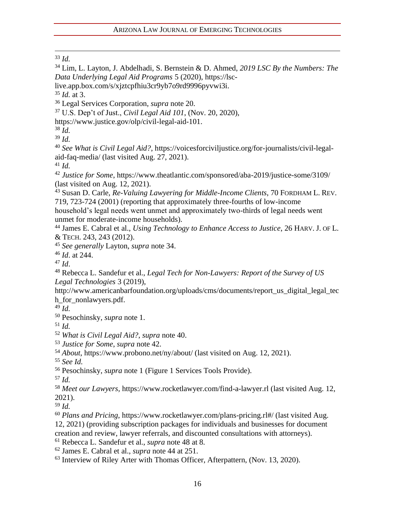*Id.*

 Lim, L. Layton, J. Abdelhadi, S. Bernstein & D. Ahmed, *2019 LSC By the Numbers: The Data Underlying Legal Aid Programs* 5 (2020), https://lsc-

live.app.box.com/s/xjztcpfhiu3cr9yb7o9rd9996pyvwi3i.

*Id.* at 3.

Legal Services Corporation, *supra* note 20.

U.S. Dep't of Just., *Civil Legal Aid 101*, (Nov. 20, 2020),

https://www.justice.gov/olp/civil-legal-aid-101.

 *Id. Id.*

 *See What is Civil Legal Aid?*, [https://voicesforciviljustice.org/for-journalists/civil-legal](https://voicesforciviljustice.org/for-journalists/civil-legal-aid-faq-media/)[aid-faq-media/](https://voicesforciviljustice.org/for-journalists/civil-legal-aid-faq-media/) (last visited Aug. 27, 2021).

*Id.*

 *Justice for Some*, https://www.theatlantic.com/sponsored/aba-2019/justice-some/3109/ (last visited on Aug. 12, 2021).

 Susan D. Carle, *Re-Valuing Lawyering for Middle-Income Clients*, 70 FORDHAM L. REV. 719, 723-724 (2001) (reporting that approximately three-fourths of low-income

household's legal needs went unmet and approximately two-thirds of legal needs went unmet for moderate-income households).

 James E. Cabral et al., *Using Technology to Enhance Access to Justice*, 26 HARV. J. OF L. & TECH. 243, 243 (2012).

*See generally* Layton, *supra* note 34.

*Id*. at 244.

*Id*.

 Rebecca L. Sandefur et al., *Legal Tech for Non-Lawyers: Report of the Survey of US Legal Technologies* 3 (2019),

http://www.americanbarfoundation.org/uploads/cms/documents/report\_us\_digital\_legal\_tec h\_for\_nonlawyers.pdf.

*Id.*

Pesochinsky, *supra* note 1.

*Id.*

*What is Civil Legal Aid?*, *supra* note 40.

*Justice for Some*, *supra* note 42.

*About*, https://www.probono.net/ny/about/ (last visited on Aug. 12, 2021).

*See Id.*

Pesochinsky, *supra* note 1 (Figure 1 Services Tools Provide).

*Id.*

 *Meet our Lawyers,* https://www.rocketlawyer.com/find-a-lawyer.rl (last visited Aug. 12, 2021).

*Id.*

 *Plans and Pricing*, https://www.rocketlawyer.com/plans-pricing.rl#/ (last visited Aug. 12, 2021) (providing subscription packages for individuals and businesses for document creation and review, lawyer referrals, and discounted consultations with attorneys).

Rebecca L. Sandefur et al., *supra* note 48 at 8.

James E. Cabral et al., *supra* note 44 at 251.

Interview of Riley Arter with Thomas Officer, Afterpattern, (Nov. 13, 2020).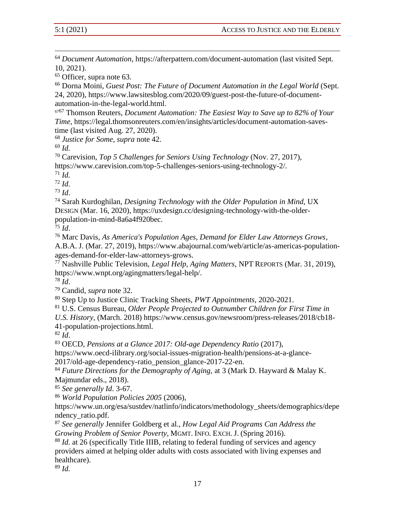<sup>64</sup> *Document Automation*, https://afterpattern.com/document-automation (last visited Sept. 10, 2021).

<sup>65</sup> Officer, supra note 63.

<sup>66</sup> Dorna Moini, *Guest Post: The Future of Document Automation in the Legal World* (Sept. 24, 2020), https://www.lawsitesblog.com/2020/09/guest-post-the-future-of-documentautomation-in-the-legal-world.html.

<sup>67</sup><sup>67</sup> Thomson Reuters, *Document Automation: The Easiest Way to Save up to 82% of Your Time*, https://legal.thomsonreuters.com/en/insights/articles/document-automation-savestime (last visited Aug. 27, 2020).

<sup>68</sup> *Justice for Some*, *supra* note 42.

<sup>69</sup> *Id.*

<sup>70</sup> Carevision, *Top 5 Challenges for Seniors Using Technology* (Nov. 27, 2017), https://www.carevision.com/top-5-challenges-seniors-using-technology-2/.

<sup>71</sup> *Id.*

<sup>72</sup> *Id.*

<sup>73</sup> *Id*.

<sup>74</sup> Sarah Kurdoghilan, *Designing Technology with the Older Population in Mind*, UX DESIGN (Mar. 16, 2020), https://uxdesign.cc/designing-technology-with-the-olderpopulation-in-mind-8a6a4f920bec.

 $\overline{75}$   $\overline{Id}$ .

<sup>76</sup> Marc Davis, *As America's Population Ages, Demand for Elder Law Attorneys Grows*,

A.B.A. J. (Mar. 27, 2019), https://www.abajournal.com/web/article/as-americas-populationages-demand-for-elder-law-attorneys-grows.

<sup>77</sup> Nashville Public Television, *Legal Help, Aging Matters,* NPT REPORTS (Mar. 31, 2019), https://www.wnpt.org/agingmatters/legal-help/.

<sup>78</sup> *Id*.

<sup>79</sup> Candid, *supra* note 32.

<sup>80</sup> Step Up to Justice Clinic Tracking Sheets, *PWT Appointments*, 2020-2021.

<sup>81</sup> U.S. Census Bureau, *Older People Projected to Outnumber Children for First Time in* 

*U.S. History*, (March. 2018) https://www.census.gov/newsroom/press-releases/2018/cb18- 41-population-projections.html.

<sup>82</sup> *Id*.

<sup>83</sup> OECD, *Pensions at a Glance 2017: Old-age Dependency Ratio* (2017),

https://www.oecd-ilibrary.org/social-issues-migration-health/pensions-at-a-glance-2017/old-age-dependency-ratio\_pension\_glance-2017-22-en.

<sup>84</sup> *Future Directions for the Demography of Aging,* at 3 (Mark D. Hayward & Malay K. Majmundar eds., 2018).

<sup>85</sup> *See generally Id*. 3-67.

<sup>86</sup> *World Population Policies 2005* (2006),

https://www.un.org/esa/sustdev/natlinfo/indicators/methodology\_sheets/demographics/depe ndency\_ratio.pdf.

<sup>87</sup> *See generally* Jennifer Goldberg et al., *How Legal Aid Programs Can Address the Growing Problem of Senior Poverty*, MGMT. INFO. EXCH. J. (Spring 2016).

<sup>88</sup> *Id.* at 26 (specifically Title IIIB, relating to federal funding of services and agency providers aimed at helping older adults with costs associated with living expenses and healthcare).

<sup>89</sup> *Id.*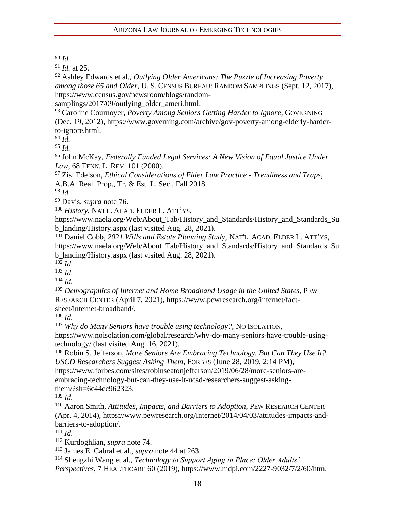#### <sup>90</sup> *Id.*

<sup>91</sup> *Id.* at 25.

<sup>92</sup> Ashley Edwards et al., *Outlying Older Americans: The Puzzle of Increasing Poverty among those 65 and Older*, U. S. CENSUS BUREAU: RANDOM SAMPLINGS (Sept. 12, 2017), https://www.census.gov/newsroom/blogs/random-

samplings/2017/09/outlying older ameri.html.

<sup>93</sup> Caroline Cournoyer, *Poverty Among Seniors Getting Harder to Ignore*, GOVERNING (Dec. 19, 2012), https://www.governing.com/archive/gov-poverty-among-elderly-harderto-ignore.html.

 $94 \overline{Id}$ .

<sup>95</sup> *Id.*

<sup>96</sup> John McKay, *Federally Funded Legal Services: A New Vision of Equal Justice Under Law*, 68 TENN. L. REV. 101 (2000).

<sup>97</sup> Zisl Edelson, *Ethical Considerations of Elder Law Practice - Trendiness and Traps*, A.B.A. Real. Prop., Tr. & Est. L. Sec., Fall 2018.

<sup>98</sup> *Id.*

<sup>99</sup> Davis, *supra* note 76.

<sup>100</sup> *History*, NAT'L. ACAD. ELDER L. ATT'YS,

https://www.naela.org/Web/About\_Tab/History\_and\_Standards/History\_and\_Standards\_Su b\_landing/History.aspx (last visited Aug. 28, 2021).

<sup>101</sup> Daniel Cobb, *2021 Wills and Estate Planning Study*, NAT'L. ACAD. ELDER L. ATT'YS, https://www.naela.org/Web/About\_Tab/History\_and\_Standards/History\_and\_Standards\_Su b\_landing/History.aspx (last visited Aug. 28, 2021).

<sup>102</sup> *Id.*

<sup>103</sup> *Id.*

<sup>104</sup> *Id.*

<sup>105</sup> *Demographics of Internet and Home Broadband Usage in the United States*, PEW RESEARCH CENTER (April 7, 2021), https://www.pewresearch.org/internet/factsheet/internet-broadband/.

<sup>106</sup> *Id.*

<sup>107</sup> *Why do Many Seniors have trouble using technology?*, NO ISOLATION,

https://www.noisolation.com/global/research/why-do-many-seniors-have-trouble-usingtechnology/ (last visited Aug. 16, 2021).

<sup>108</sup> Robin S. Jefferson, *More Seniors Are Embracing Technology. But Can They Use It? USCD Researchers Suggest Asking Them*, FORBES (June 28, 2019, 2:14 PM),

https://www.forbes.com/sites/robinseatonjefferson/2019/06/28/more-seniors-are-

embracing-technology-but-can-they-use-it-ucsd-researchers-suggest-askingthem/?sh=6c44ec962323.

 $109$  *Id.* 

<sup>110</sup> Aaron Smith, *Attitudes, Impacts, and Barriers to Adoption*, PEW RESEARCH CENTER (Apr. 4, 2014), https://www.pewresearch.org/internet/2014/04/03/attitudes-impacts-andbarriers-to-adoption/.

<sup>111</sup> *Id.*

<sup>112</sup> Kurdoghlian, *supra* note 74.

<sup>113</sup> James E. Cabral et al., *supra* note 44 at 263.

<sup>114</sup> Shengzhi Wang et al., *Technology to Support Aging in Place: Older Adults' Perspectives*, 7 HEALTHCARE 60 (2019), https://www.mdpi.com/2227-9032/7/2/60/htm.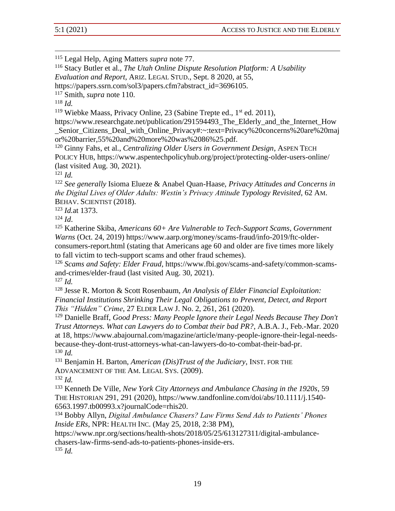<sup>115</sup> Legal Help, Aging Matters *supra* note 77.

<sup>116</sup> Stacy Butler et al., *The Utah Online Dispute Resolution Platform: A Usability* 

*Evaluation and Report*, ARIZ. LEGAL STUD., Sept. 8 2020, at 55,

https://papers.ssrn.com/sol3/papers.cfm?abstract\_id=3696105.

<sup>117</sup> Smith, *supra* note 110.

<sup>118</sup> *Id.*

<sup>119</sup> Wiebke Maass, Privacy Online, 23 (Sabine Trepte ed.,  $1<sup>st</sup>$  ed. 2011),

https://www.researchgate.net/publication/291594493 The Elderly and the Internet How Senior Citizens Deal with Online Privacy#:~:text=Privacy%20concerns%20are%20maj or%20barrier,55%20and%20more%20was%2086%25.pdf.

<sup>120</sup> Ginny Fahs, et al., *Centralizing Older Users in Government Design*, ASPEN TECH POLICY HUB, https://www.aspentechpolicyhub.org/project/protecting-older-users-online/ (last visited Aug. 30, 2021).

<sup>121</sup> *Id.*

<sup>122</sup> *See generally* Isioma Elueze & Anabel Quan-Haase, *Privacy Attitudes and Concerns in the Digital Lives of Older Adults: Westin's Privacy Attitude Typology Revisited*, 62 AM. BEHAV. SCIENTIST (2018).

<sup>123</sup> *Id.*at 1373.

 $124$  *Id.* 

<sup>125</sup> Katherine Skiba, *Americans 60+ Are Vulnerable to Tech-Support Scams, Government Warns* (Oct. 24, 2019) https://www.aarp.org/money/scams-fraud/info-2019/ftc-olderconsumers-report.html (stating that Americans age 60 and older are five times more likely to fall victim to tech-support scams and other fraud schemes).

<sup>126</sup> *Scams and Safety: Elder Fraud*, https://www.fbi.gov/scams-and-safety/common-scamsand-crimes/elder-fraud (last visited Aug. 30, 2021).

<sup>127</sup> *Id.*

<sup>128</sup> Jesse R. Morton & Scott Rosenbaum, *An Analysis of Elder Financial Exploitation: Financial Institutions Shrinking Their Legal Obligations to Prevent, Detect, and Report This "Hidden" Crime*, 27 ELDER LAW J. No. 2, 261, 261 (2020).

<sup>129</sup> Danielle Braff, *Good Press: Many People Ignore their Legal Needs Because They Don't Trust Attorneys. What can Lawyers do to Combat their bad PR?*, A.B.A. J., Feb.-Mar. 2020 at 18, https://www.abajournal.com/magazine/article/many-people-ignore-their-legal-needsbecause-they-dont-trust-attorneys-what-can-lawyers-do-to-combat-their-bad-pr. <sup>130</sup> *Id.*

<sup>131</sup> Benjamin H. Barton, *American (Dis)Trust of the Judiciary*, INST. FOR THE ADVANCEMENT OF THE AM. LEGAL SYS. (2009).

<sup>132</sup> *Id.*

<sup>133</sup> Kenneth De Ville, *New York City Attorneys and Ambulance Chasing in the 1920s*, 59 THE HISTORIAN 291, 291 (2020), https://www.tandfonline.com/doi/abs/10.1111/j.1540- 6563.1997.tb00993.x?journalCode=rhis20.

<sup>134</sup> Bobby Allyn, *Digital Ambulance Chasers? Law Firms Send Ads to Patients' Phones Inside ERs*, NPR: HEALTH INC. (May 25, 2018, 2:38 PM),

https://www.npr.org/sections/health-shots/2018/05/25/613127311/digital-ambulancechasers-law-firms-send-ads-to-patients-phones-inside-ers.

<sup>135</sup> *Id.*